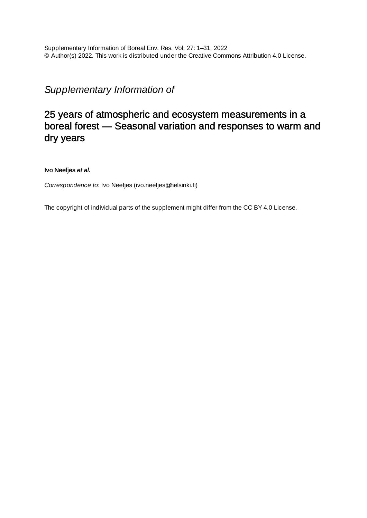Supplementary Information of Boreal Env. Res. Vol. 27: 1–31, 2022 © Author(s) 2022. This work is distributed under the Creative Commons Attribution 4.0 License.

*Supplementary Information of*

## 25 years of atmospheric and ecosystem measurements in a boreal forest — Seasonal variation and responses to warm and dry years

## Ivo Neefjes *et al*.

*Correspondence to*: Ivo Neefjes (ivo.neefjes@helsinki.fi)

The copyright of individual parts of the supplement might differ from the CC BY 4.0 License.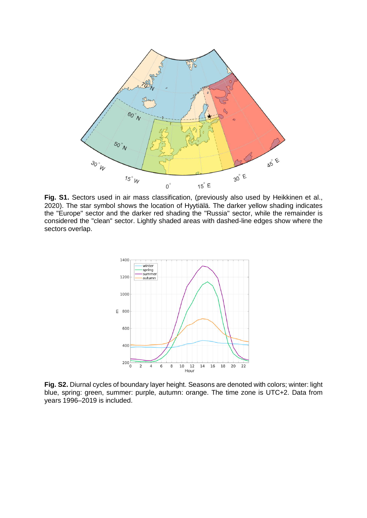

Fig. S1. Sectors used in air mass classification, (previously also used by Heikkinen et al., 2020). The star symbol shows the location of Hyytiälä. The darker yellow shading indicates the "Europe" sector and the darker red shading the "Russia" sector, while the remainder is considered the "clean" sector. Lightly shaded areas with dashed-line edges show where the sectors overlap.



**Fig. S2.** Diurnal cycles of boundary layer height. Seasons are denoted with colors; winter: light blue, spring: green, summer: purple, autumn: orange. The time zone is UTC+2. Data from years 1996–2019 is included.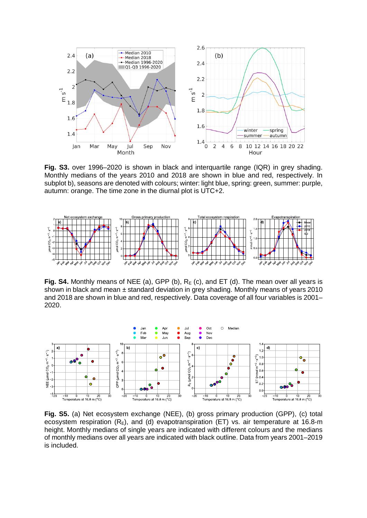

**Fig. S3.** over 1996–2020 is shown in black and interquartile range (IQR) in grey shading. Monthly medians of the years 2010 and 2018 are shown in blue and red, respectively. In subplot b), seasons are denoted with colours; winter: light blue, spring: green, summer: purple, autumn: orange. The time zone in the diurnal plot is UTC+2.



**Fig. S4.** Monthly means of NEE (a), GPP (b),  $R_E$  (c), and ET (d). The mean over all years is shown in black and mean  $\pm$  standard deviation in grey shading. Monthly means of years 2010 and 2018 are shown in blue and red, respectively. Data coverage of all four variables is 2001– 2020.



**Fig. S5.** (a) Net ecosystem exchange (NEE), (b) gross primary production (GPP), (c) total ecosystem respiration  $(R<sub>E</sub>)$ , and (d) evapotranspiration (ET) vs. air temperature at 16.8-m height. Monthly medians of single years are indicated with different colours and the medians of monthly medians over all years are indicated with black outline. Data from years 2001–2019 is included.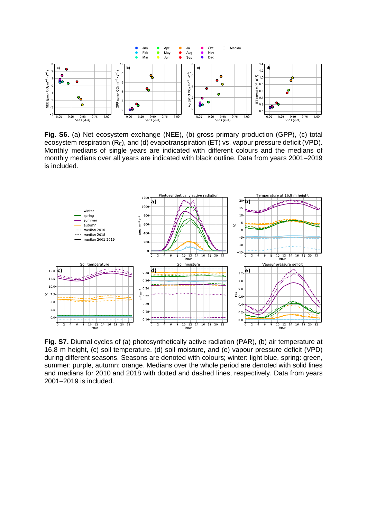

**Fig. S6.** (a) Net ecosystem exchange (NEE), (b) gross primary production (GPP), (c) total ecosystem respiration  $(R<sub>E</sub>)$ , and (d) evapotranspiration (ET) vs. vapour pressure deficit (VPD). Monthly medians of single years are indicated with different colours and the medians of monthly medians over all years are indicated with black outline. Data from years 2001–2019 is included.



**Fig. S7.** Diurnal cycles of (a) photosynthetically active radiation (PAR), (b) air temperature at 16.8 m height, (c) soil temperature, (d) soil moisture, and (e) vapour pressure deficit (VPD) during different seasons. Seasons are denoted with colours; winter: light blue, spring: green, summer: purple, autumn: orange. Medians over the whole period are denoted with solid lines and medians for 2010 and 2018 with dotted and dashed lines, respectively. Data from years 2001–2019 is included.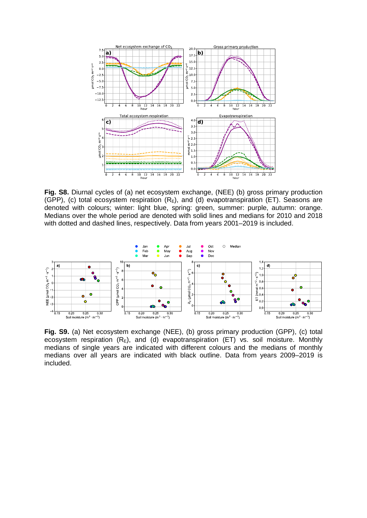

**Fig. S8.** Diurnal cycles of (a) net ecosystem exchange, (NEE) (b) gross primary production (GPP), (c) total ecosystem respiration  $(R<sub>E</sub>)$ , and (d) evapotranspiration (ET). Seasons are denoted with colours; winter: light blue, spring: green, summer: purple, autumn: orange. Medians over the whole period are denoted with solid lines and medians for 2010 and 2018 with dotted and dashed lines, respectively. Data from years 2001–2019 is included.



**Fig. S9.** (a) Net ecosystem exchange (NEE), (b) gross primary production (GPP), (c) total ecosystem respiration  $(R_E)$ , and  $(d)$  evapotranspiration (ET) vs. soil moisture. Monthly medians of single years are indicated with different colours and the medians of monthly medians over all years are indicated with black outline. Data from years 2009–2019 is included.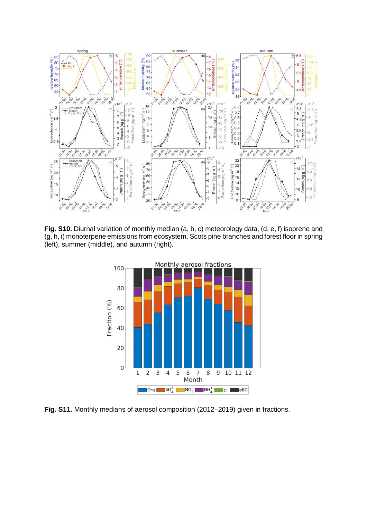

**Fig. S10.** Diurnal variation of monthly median (a, b, c) meteorology data, (d, e, f) isoprene and (g, h, i) monoterpene emissions from ecosystem, Scots pine branches and forest floor in spring (left), summer (middle), and autumn (right).



**Fig. S11.** Monthly medians of aerosol composition (2012–2019) given in fractions.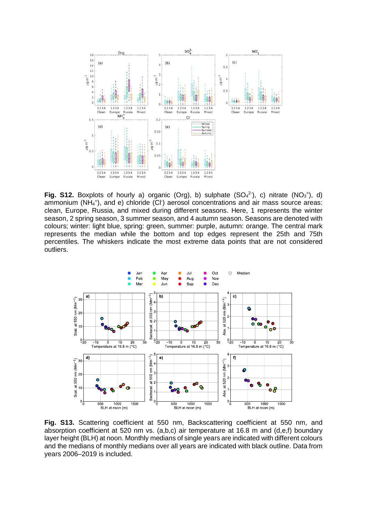

**Fig. S12.** Boxplots of hourly a) organic (Org), b) sulphate  $(SO<sub>4</sub><sup>2</sup>)$ , c) nitrate  $(NO<sub>3</sub><sup>=</sup>)$ , d) ammonium (NH<sub>4</sub><sup>+</sup>), and e) chloride (Cl<sup>-</sup>) aerosol concentrations and air mass source areas: clean, Europe, Russia, and mixed during different seasons. Here, 1 represents the winter season, 2 spring season, 3 summer season, and 4 autumn season. Seasons are denoted with colours; winter: light blue, spring: green, summer: purple, autumn: orange. The central mark represents the median while the bottom and top edges represent the 25th and 75th percentiles. The whiskers indicate the most extreme data points that are not considered outliers.



**Fig. S13.** Scattering coefficient at 550 nm, Backscattering coefficient at 550 nm, and absorption coefficient at 520 nm vs. (a,b,c) air temperature at 16.8 m and (d,e,f) boundary layer height (BLH) at noon. Monthly medians of single years are indicated with different colours and the medians of monthly medians over all years are indicated with black outline. Data from years 2006–2019 is included.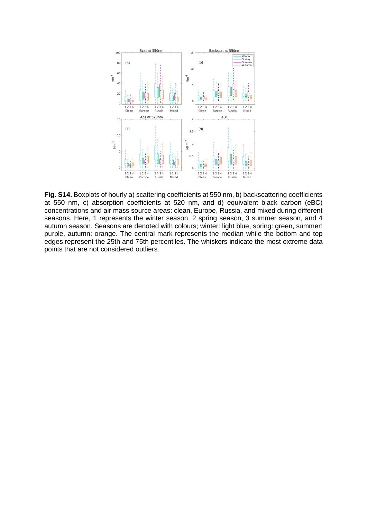

**Fig. S14.** Boxplots of hourly a) scattering coefficients at 550 nm, b) backscattering coefficients at 550 nm, c) absorption coefficients at 520 nm, and d) equivalent black carbon (eBC) concentrations and air mass source areas: clean, Europe, Russia, and mixed during different seasons. Here, 1 represents the winter season, 2 spring season, 3 summer season, and 4 autumn season. Seasons are denoted with colours; winter: light blue, spring: green, summer: purple, autumn: orange. The central mark represents the median while the bottom and top edges represent the 25th and 75th percentiles. The whiskers indicate the most extreme data points that are not considered outliers.